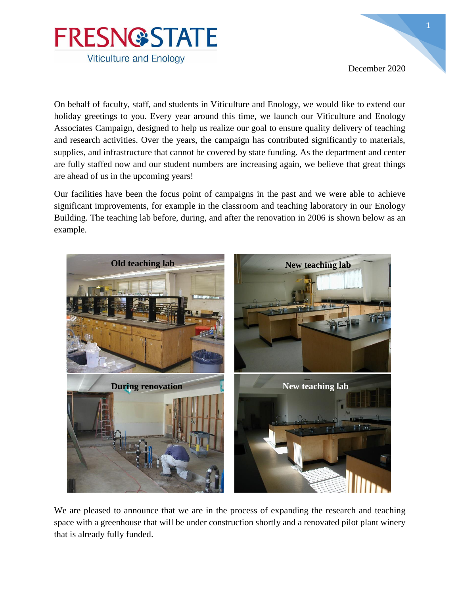

December 2020

On behalf of faculty, staff, and students in Viticulture and Enology, we would like to extend our holiday greetings to you. Every year around this time, we launch our Viticulture and Enology Associates Campaign, designed to help us realize our goal to ensure quality delivery of teaching and research activities. Over the years, the campaign has contributed significantly to materials, supplies, and infrastructure that cannot be covered by state funding. As the department and center are fully staffed now and our student numbers are increasing again, we believe that great things are ahead of us in the upcoming years!

Our facilities have been the focus point of campaigns in the past and we were able to achieve significant improvements, for example in the classroom and teaching laboratory in our Enology Building. The teaching lab before, during, and after the renovation in 2006 is shown below as an example.



We are pleased to announce that we are in the process of expanding the research and teaching space with a greenhouse that will be under construction shortly and a renovated pilot plant winery that is already fully funded.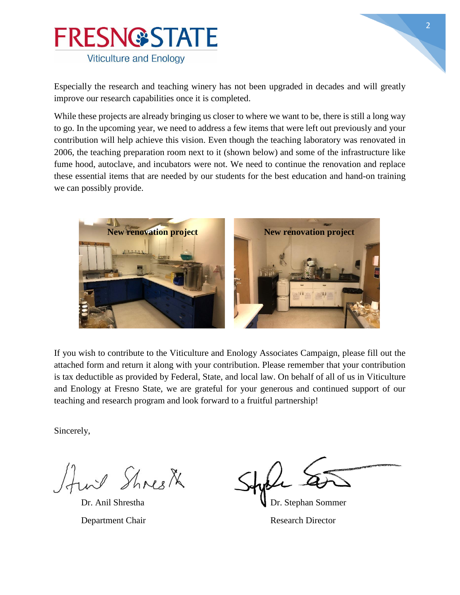

Especially the research and teaching winery has not been upgraded in decades and will greatly improve our research capabilities once it is completed.

While these projects are already bringing us closer to where we want to be, there is still a long way to go. In the upcoming year, we need to address a few items that were left out previously and your contribution will help achieve this vision. Even though the teaching laboratory was renovated in 2006, the teaching preparation room next to it (shown below) and some of the infrastructure like fume hood, autoclave, and incubators were not. We need to continue the renovation and replace these essential items that are needed by our students for the best education and hand-on training we can possibly provide.



If you wish to contribute to the Viticulture and Enology Associates Campaign, please fill out the attached form and return it along with your contribution. Please remember that your contribution is tax deductible as provided by Federal, State, and local law. On behalf of all of us in Viticulture and Enology at Fresno State, we are grateful for your generous and continued support of our teaching and research program and look forward to a fruitful partnership!

Sincerely,

Fund Shresk

Dr. Anil Shrestha V Dr. Stephan Sommer Department Chair Research Director

2